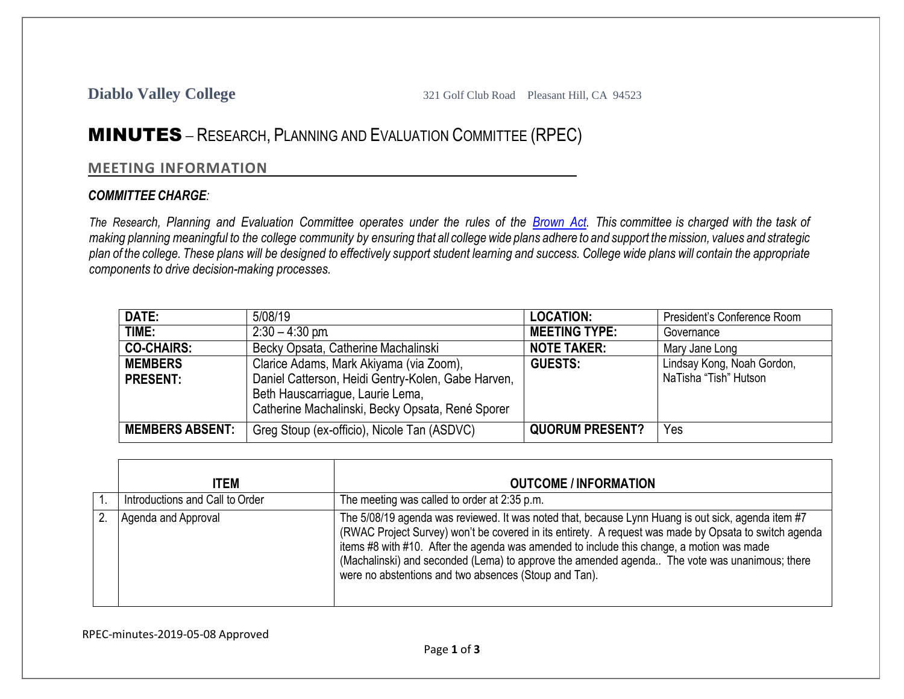## MINUTES – RESEARCH, PLANNING AND EVALUATION COMMITTEE (RPEC)

## **MEETING INFORMATION**

## *COMMITTEE CHARGE:*

The Research, Planning and Evaluation Committee operates under the rules of the **[Brown](http://ag.ca.gov/publications/2003_Intro_BrownAct.pdf) Act**. This committee is charged with the task of making planning meaningful to the college community by ensuring that all college wide plans adhere to and support the mission, values and strategic plan of the college. These plans will be designed to effectively support student learning and success. College wide plans will contain the appropriate *components to drive decision-making processes.*

| DATE:                             | 5/08/19                                                                                                                                                                               | <b>LOCATION:</b>       | President's Conference Room                         |
|-----------------------------------|---------------------------------------------------------------------------------------------------------------------------------------------------------------------------------------|------------------------|-----------------------------------------------------|
| TIME:                             | $2:30 - 4:30$ pm.                                                                                                                                                                     | <b>MEETING TYPE:</b>   | Governance                                          |
| <b>CO-CHAIRS:</b>                 | Becky Opsata, Catherine Machalinski                                                                                                                                                   | <b>NOTE TAKER:</b>     | Mary Jane Long                                      |
| <b>MEMBERS</b><br><b>PRESENT:</b> | Clarice Adams, Mark Akiyama (via Zoom),<br>Daniel Catterson, Heidi Gentry-Kolen, Gabe Harven,<br>Beth Hauscarriague, Laurie Lema,<br>Catherine Machalinski, Becky Opsata, René Sporer | <b>GUESTS:</b>         | Lindsay Kong, Noah Gordon,<br>NaTisha "Tish" Hutson |
| <b>MEMBERS ABSENT:</b>            | Greg Stoup (ex-officio), Nicole Tan (ASDVC)                                                                                                                                           | <b>QUORUM PRESENT?</b> | Yes                                                 |

| <b>ITEM</b>                     | <b>OUTCOME / INFORMATION</b>                                                                                                                                                                                                                                                                                                                                                                                                                                       |
|---------------------------------|--------------------------------------------------------------------------------------------------------------------------------------------------------------------------------------------------------------------------------------------------------------------------------------------------------------------------------------------------------------------------------------------------------------------------------------------------------------------|
| Introductions and Call to Order | The meeting was called to order at 2:35 p.m.                                                                                                                                                                                                                                                                                                                                                                                                                       |
| Agenda and Approval             | The 5/08/19 agenda was reviewed. It was noted that, because Lynn Huang is out sick, agenda item #7<br>(RWAC Project Survey) won't be covered in its entirety. A request was made by Opsata to switch agenda<br>items #8 with #10. After the agenda was amended to include this change, a motion was made<br>(Machalinski) and seconded (Lema) to approve the amended agenda The vote was unanimous; there<br>were no abstentions and two absences (Stoup and Tan). |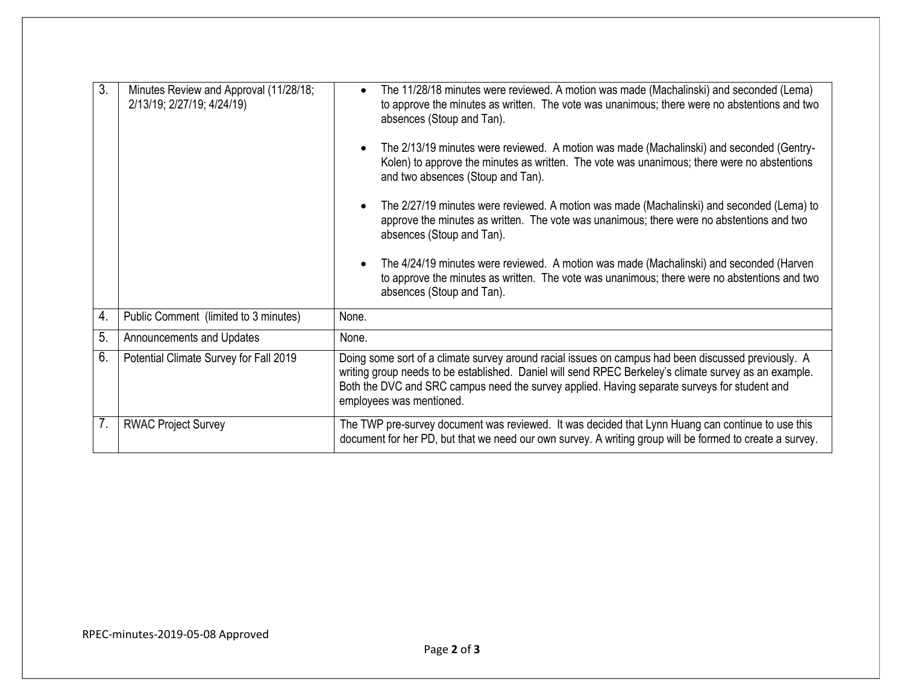| 3. | Minutes Review and Approval (11/28/18;<br>2/13/19; 2/27/19; 4/24/19) | The 11/28/18 minutes were reviewed. A motion was made (Machalinski) and seconded (Lema)<br>$\bullet$<br>to approve the minutes as written. The vote was unanimous; there were no abstentions and two<br>absences (Stoup and Tan).<br>The 2/13/19 minutes were reviewed. A motion was made (Machalinski) and seconded (Gentry-<br>$\bullet$<br>Kolen) to approve the minutes as written. The vote was unanimous; there were no abstentions<br>and two absences (Stoup and Tan).<br>The 2/27/19 minutes were reviewed. A motion was made (Machalinski) and seconded (Lema) to<br>$\bullet$<br>approve the minutes as written. The vote was unanimous; there were no abstentions and two<br>absences (Stoup and Tan).<br>The 4/24/19 minutes were reviewed. A motion was made (Machalinski) and seconded (Harven<br>$\bullet$<br>to approve the minutes as written. The vote was unanimous; there were no abstentions and two<br>absences (Stoup and Tan). |  |
|----|----------------------------------------------------------------------|---------------------------------------------------------------------------------------------------------------------------------------------------------------------------------------------------------------------------------------------------------------------------------------------------------------------------------------------------------------------------------------------------------------------------------------------------------------------------------------------------------------------------------------------------------------------------------------------------------------------------------------------------------------------------------------------------------------------------------------------------------------------------------------------------------------------------------------------------------------------------------------------------------------------------------------------------------|--|
| 4. | Public Comment (limited to 3 minutes)                                | None.                                                                                                                                                                                                                                                                                                                                                                                                                                                                                                                                                                                                                                                                                                                                                                                                                                                                                                                                                   |  |
| 5. | Announcements and Updates                                            | None.                                                                                                                                                                                                                                                                                                                                                                                                                                                                                                                                                                                                                                                                                                                                                                                                                                                                                                                                                   |  |
| 6. | Potential Climate Survey for Fall 2019                               | Doing some sort of a climate survey around racial issues on campus had been discussed previously. A<br>writing group needs to be established. Daniel will send RPEC Berkeley's climate survey as an example.<br>Both the DVC and SRC campus need the survey applied. Having separate surveys for student and<br>employees was mentioned.                                                                                                                                                                                                                                                                                                                                                                                                                                                                                                                                                                                                                |  |
| 7. | <b>RWAC Project Survey</b>                                           | The TWP pre-survey document was reviewed. It was decided that Lynn Huang can continue to use this<br>document for her PD, but that we need our own survey. A writing group will be formed to create a survey.                                                                                                                                                                                                                                                                                                                                                                                                                                                                                                                                                                                                                                                                                                                                           |  |